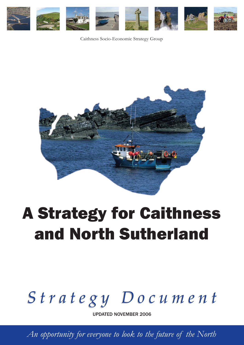

Caithness Socio-Economic Strategy Group



# A Strategy for Caithness and North Sutherland

# *Strategy Document Strategy Document*

UPDATED NOVEMBER 2006

*An opportunity for everyone to look to the future of the North*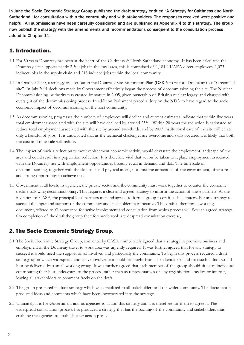In June the Socio Economic Strategy Group published the draft strategy entitled "A Strategy for Caithness and North Sutherland'' for consultation within the community and with stakeholders. The responses received were positive and helpful. All submissions have been carefully considered and are published as Appendix 4 to this strategy. The group now publish the strategy with the amendments and recommendations consequent to the consultation process added to Chapter 11.

# 1. Introduction.

- 1.1 For 50 years Dounreay has been at the heart of the Caithness & North Sutherland economy. It has been calculated the Dounreay site supports nearly 2,500 jobs in the local area, this is comprised of 1,184 UKAEA direct employees, 1,073 indirect jobs in the supply chain and 213 induced jobs within the local community.
- 1.2 In October 2000, a strategy was set out in the Dounreay Site Restoration Plan (DSRP) to restore Dounreay to a "Greenfield site". In July 2001 decisions made by Government effectively began the process of decommissioning the site. The Nuclear Decommissioning Authority was created by statute in 2005, given ownership of Britain's nuclear legacy, and charged with oversight of the decommissioning process. In addition Parliament placed a duty on the NDA to have regard to the socio economic impact of decommissioning on the host community.
- 1.3 As decommissioning progresses the numbers of employees will decline and current estimates indicate that within five years total employment associated with the site will have declined by around 25%. Within 20 years the reduction is estimated to reduce total employment associated with the site by around two-thirds, and by 2033 institutional care of the site will create only a handful of jobs. It is anticipated that as the technical challenges are overcome and skills acquired it is likely that both the cost and timescale will reduce.
- 1.4 The impact of such a reduction without replacement economic activity would devastate the employment landscape of the area and could result in a population reduction. It is therefore vital that action be taken to replace employment associated with the Dounreay site with employment opportunities broadly equal in demand and skill. The timescale of decommissioning, together with the skill base and physical assets, not least the attractions of the environment, offer a real and strong opportunity to achieve this.
- 1.5 Government at all levels, its agencies, the private sector and the community must work together to counter the economic decline following decommissioning. This requires a clear and agreed strategy to inform the action of these partners. At the invitation of CASE, the principal local partners met and agreed to form a group to draft such a strategy. For any strategy to succeed the input and support of the community and stakeholders is imperative. This draft is therefore a working document, offered to all concerned for active involvement and consultation from which process will flow an agreed strategy. On completion of the draft the group therefore undertook a widespread consultation exercise,

# 2. The Socio Economic Strategy Group.

- 2.1 The Socio Economic Strategy Group, convened by CASE, immediately agreed that a strategy to promote business and employment in the Dounreay travel to work area was urgently required. It was further agreed that for any strategy to succeed it would need the support of all involved and particularly the community. To begin this process required a draft strategy upon which widespread and active involvement could be sought from all stakeholders, and that such a draft would best be delivered by a small working group. It was further agreed that each member of the group should sit as an individual contributing their best endeavours to the process rather than as representatives of any organisation, locality, or interest, leaving all stakeholders to comment freely on the draft.
- 2.2 The group presented its draft strategy which was circulated to all stakeholders and the wider community. The document has produced ideas and comments which have been incorporated into the strategy.
- 2.3 Ultimately it is for Government and its agencies to action this strategy and it is therefore for them to agree it. The widespread consultation process has produced a strategy that has the backing of the community and stakeholders thus enabling the agencies to establish clear action plans.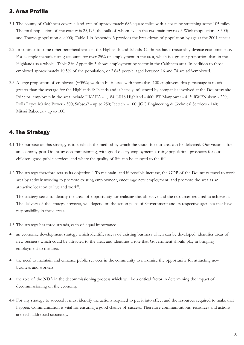# 3. Area Profile

- 3.1 The county of Caithness covers a land area of approximately 686 square miles with a coastline stretching some 105 miles. The total population of the county is 25,195, the bulk of whom live in the two main towns of Wick (population c8,500) and Thurso (population c 9,000). Table 1 in Appendix 3 provides the breakdown of population by age at the 2001 census.
- 3.2 In contrast to some other peripheral areas in the Highlands and Islands, Caithness has a reasonably diverse economic base. For example manufacturing accounts for over 25% of employment in the area, which is a greater proportion than in the Highlands as a whole. Table 2 in Appendix 3 shows employment by sector in the Caithness area. In addition to those employed approximately 10.5% of the population, or 2,645 people, aged between 16 and 74 are self-employed.
- 3.3 A large proportion of employees  $(\sim 35\%)$  work in businesses with more than 100 employees, this percentage is much greater than the average for the Highlands & Islands and is heavily influenced by companies involved at the Dounreay site. Principal employers in the area include UKAEA - 1,184; NHS Highland - 400; BT Manpower - 415; RWENukem - 220; Rolls Royce Marine Power - 300; Subsea7 - up to 250; Icetech - 100; JGC Engineering & Technical Services - 140; Mitsui Babcock - up to 100.

# 4. The Strategy

- 4.1 The purpose of this strategy is to establish the method by which the vision for our area can be delivered. Our vision is for an economy post Dounreay decommissioning, with good quality employment, a rising population, prospects for our children, good public services, and where the quality of life can be enjoyed to the full.
- 4.2 The strategy therefore sets as its objective " To maintain, and if possible increase, the GDP of the Dounreay travel to work area by actively working to promote existing employment, encourage new employment, and promote the area as an attractive location to live and work".

The strategy seeks to identify the areas of opportunity for realising this objective and the resources required to achieve it. The delivery of the strategy however, will depend on the action plans of Government and its respective agencies that have responsibility in these areas.

- 4.3 The strategy has three strands, each of equal importance.
- an economic development strategy which identifies areas of existing business which can be developed; identifies areas of new business which could be attracted to the area; and identifies a role that Government should play in bringing employment to the area.
- the need to maintain and enhance public services in the community to maximise the opportunity for attracting new business and workers.
- the role of the NDA in the decommissioning process which will be a critical factor in determining the impact of decommissioning on the economy.
- 4.4 For any strategy to succeed it must identify the actions required to put it into effect and the resources required to make that happen. Communication is vital for ensuring a good chance of success. Therefore communications, resources and actions are each addressed separately.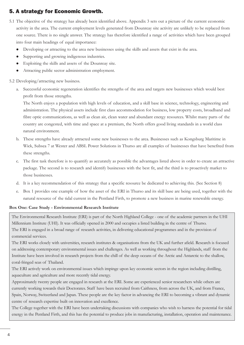# 5. A strategy for Economic Growth.

- 5.1 The objective of the strategy has already been identified above. Appendix 3 sets out a picture of the current economic activity in the area. The current employment levels generated from Dounreay site activity are unlikely to be replaced from one source. There is no single answer. The strategy has therefore identified a range of activities which have been grouped into four main headings of equal importance:
	- Developing or attracting to the area new businesses using the skills and assets that exist in the area.
	- Supporting and growing indigenous industries.
	- Exploiting the skills and assets of the Dounreay site.
	- Attracting public sector administration employment.

## 5.2 Developing/attracting new business.

a. Successful economic regeneration identifies the strengths of the area and targets new businesses which would best profit from those strengths.

The North enjoys a population with high levels of education, and a skill base in science, technology, engineering and administration. The physical assets include first class accommodation for business, low property costs, broadband and fibre optic communications, as well as clean air, clean water and abundant energy resources. Whilst many parts of the country are congested, with time and space at a premium, the North offers good living standards in a world class natural environment.

- b. These strengths have already attracted some new businesses to the area. Businesses such as Kongsburg Maritime in Wick, Subsea 7 at Wester and ABSL Power Solutions in Thurso are all examples of businesses that have benefited from these strengths.
- c. The first task therefore is to quantify as accurately as possible the advantages listed above in order to create an attractive package. The second is to research and identify businesses with the best fit, and the third is to proactively market to those businesses.
- d. It is a key recommendation of this strategy that a specific resource be dedicated to achieving this. (See Section 8)
- e. Box 1 provides one example of how the asset of the ERI in Thurso and its skill base are being used, together with the natural resource of the tidal current in the Pentland Firth, to promote a new business in marine renewable energy.

## **Box One: Case Study - Environmental Research Institute**

The Environmental Research Institute (ERI) is part of the North Highland College - one of the academic partners in the UHI Millennium Institute (UHI). It was officially opened in 2000 and occupies a listed building in the centre of Thurso. The ERI is engaged in a broad range of research activities, in delivering educational programmes and in the provision of commercial services.

The ERI works closely with universities, research institutes & organisations from the UK and further afield. Research is focused on addressing contemporary environmental issues and challenges. As well as working throughout the Highlands, staff from the Institute have been involved in research projects from the chill of the deep oceans of the Arctic and Antarctic to the shallow, coral-fringed seas of Thailand.

The ERI actively work on environmental issues which impinge upon key economic sectors in the region including distilling, aquaculture and agriculture and more recently tidal energy.

Approximately twenty people are engaged in research at the ERI. Some are experienced senior researchers while others are currently working towards their Doctorates. Staff have been recruited from Caithness, from across the UK, and from France, Spain, Norway, Switzerland and Japan. These people are the key factor in advancing the ERI to becoming a vibrant and dynamic centre of research expertise built on innovation and excellence.

The College together with the ERI have been undertaking discussions with companies who wish to harness the potential for tidal energy in the Pentland Firth, and this has the potential to produce jobs in manufacturing, installation, operation and maintenance.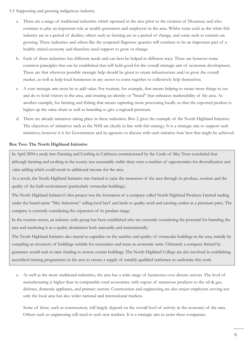- 5.3 Supporting and growing indigenous industry.
	- a. There are a range of traditional industries which operated in the area prior to the creation of Dounreay and who continue to play an important role as wealth generators and employers in the area. Whilst some such as the white fish industry are in a period of decline, others such as farming are in a period of change, and some such as tourism are growing. These industries and others like the reopened flagstone quarries will continue to be an important part of a healthy mixed economy and therefore need support to grow or change.
	- b. Each of these industries has different needs and can best be helped in different ways. There are however some common principles that can be established that will hold good for the overall strategic aim of economic development. These are that wherever possible strategic help should be given to create infrastructure and/or grow the overall market, as well as help local businesses in any sector to come together to collectively help themselves.
	- c. A core strategic aim must be to add value. For tourism, for example, that means helping to create more things to see and do to hold visitors in the area, and creating an identity or "brand" that enhances marketability of the area. As another example, for farming and fishing that means capturing more processing locally so that the exported product is higher up the value chain as well as branding to give a regional premium.
	- d. There are already initiatives taking place in these industries. Box 2 gives the example of the North Highland Initiative. The objectives of initiatives such as the NHI are clearly in line with this strategy. It is a strategic aim to support such initiatives; however it is for Government and its agencies to discuss with each initiative how best that might be achieved.

#### **Box Two: The North Highland Initiative**

In April 2004 a study into Farming and Crofting in Caithness commissioned by the Castle of Mey Trust concluded that although farming and crofting in the county was reasonably stable there were a number of opportunities for diversification and value adding which could result in additional income for the area.

As a result, the North Highland Initiative was formed to raise the awareness of the area through its produce, tourism and the quality of the built environment (particularly vernacular buildings).

The North Highland Initiative's first project was the formation of a company called North Highland Products Limited trading under the brand name "Mey Selections" selling local beef and lamb to quality retail and catering outlets at a premium price. The company is currently considering the expansion of its product range.

In the tourism sector, an industry wide group has been established who are currently considering the potential for branding the area and marketing it as a quality destination both nationally and internationally.

The North Highland Initiative also intend to capitalise on the number and quality of vernacular buildings in the area, initially by compiling an inventory of buildings suitable for restoration and reuse as economic units. Ultimately a company limited by guarantee would seek to raise funding to restore certain buildings. The North Highland College are also involved in establishing accredited training programmes in the area to ensure a supply of suitably qualified craftsmen to undertake this work.

e. As well as the more traditional industries, the area has a wide range of businesses over diverse sectors. The level of manufacturing is higher than in comparable rural economies, with export of numerous products to the oil & gas, defence, domestic appliance, and primary sectors. Construction and engineering are also major employers serving not only the local area but also wider national and international markets.

Some of these, such as construction, will largely depend on the overall level of activity in the economy of the area. Others such as engineering will need to seek new markets. It is a strategic aim to assist these companies.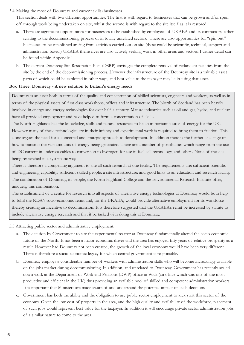#### 5.4 Making the most of Dounreay and current skills/businesses.

This section deals with two different opportunities. The first is with regard to businesses that can be grown and/or spun off through work being undertaken on site, whilst the second is with regard to the site itself as it is restored.

- a. There are significant opportunities for businesses to be established by employees of UKAEA and its contractors, either relating to the decommissioning process or in totally unrelated sectors. There are also opportunities for "spin out" businesses to be established arising from activities carried out on site (these could be scientific, technical, support and administration based.) UKAEA themselves are also actively seeking work in other areas and sectors. Further detail can be found within Appendix 1.
- b. The current Dounreay Site Restoration Plan (DSRP) envisages the complete removal of redundant facilities from the site by the end of the decommissioning process. However the infrastructure of the Dounreay site is a valuable asset parts of which could be exploited in other ways, and best value to the taxpayer may lie in using that asset.

#### **Box Three: Dounreay - A new solution to Britain's energy needs**

Dounreay is an asset both in terms of the quality and concentration of skilled scientists, engineers and workers, as well as in terms of the physical assets of first class workshops, offices and infrastructure. The North of Scotland has been heavily involved in energy and energy technologies for over half a century. Mature industries such as oil and gas, hydro, and nuclear have all provided employment and have helped to form a concentration of skills.

The North Highlands has the knowledge, skills and natural resources to be an important source of energy for the UK. However many of these technologies are in their infancy and experimental work is required to bring them to fruition. This alone argues the need for a concerted and strategic approach to development. In addition there is the further challenge of how to transmit the vast amounts of energy being generated. There are a number of possibilities which range from the use of DC current in undersea cables to conversion to hydrogen for use in fuel cell technology, and others. None of these is being researched in a systematic way.

There is therefore a compelling argument to site all such research at one facility. The requirements are: sufficient scientific and engineering capability; sufficient skilled people; a site infrastructure; and good links to an education and research facility. The combination of Dounreay, its people, the North Highland College and the Environmental Research Institute offer, uniquely, this combination.

The establishment of a centre for research into all aspects of alternative energy technologies at Dounreay would both help to fulfil the NDA's socio-economic remit and, for the UKAEA, would provide alternative employment for its workforce thereby creating an incentive to decommission. It is therefore suggested that the UKAEA's remit be increased by statute to include alternative energy research and that it be tasked with doing this at Dounreay.

5.5 Attracting public sector and administrative employment.

- a. The decision by Government to site the experimental reactor at Dounreay fundamentally altered the socio-economic future of the North. It has been a major economic driver and the area has enjoyed fifty years of relative prosperity as a result. However had Dounreay not been created, the growth of the local economy would have been very different. There is therefore a socio-economic legacy for which central government is responsible.
- b. Dounreay employs a considerable number of workers with administration skills who will become increasingly available on the jobs market during decommissioning. In addition, and unrelated to Dounreay, Government has recently scaled down work at the Department of Work and Pensions (DWP) office in Wick (an office which was one of the most productive and efficient in the UK) thus providing an available pool of skilled and competent administration workers. It is important that Ministers are made aware of and understand the potential impact of such decisions.
- c. Government has both the ability and the obligation to use public sector employment to kick start this sector of the economy. Given the low cost of property in the area, and the high quality and availability of the workforce, placement of such jobs would represent best value for the taxpayer. In addition it will encourage private sector administration jobs of a similar nature to come to the area.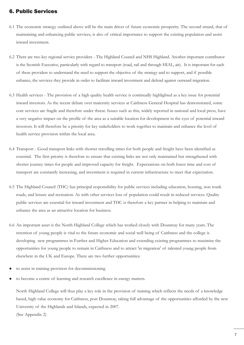## 6. Public Services

- 6.1 The economic strategy outlined above will be the main driver of future economic prosperity. The second strand, that of maintaining and enhancing public services, is also of critical importance to support the existing population and assist inward investment.
- 6.2 There are two key regional service providers The Highland Council and NHS Highland. Another important contributor is the Scottish Executive, particularly with regard to transport (road, rail and through HIAL, air). It is important for each of these providers to understand the need to support the objective of the strategy and to support, and if possible enhance, the services they provide in order to facilitate inward investment and defend against outward migration.
- 6.3 Health services The provision of a high quality health service is continually highlighted as a key issue for potential inward investors. As the recent debate over maternity services at Caithness General Hospital has demonstrated, some core services are fragile and therefore under threat. Issues such as this, widely reported in national and local press, have a very negative impact on the profile of the area as a suitable location for development in the eyes of potential inward investors. It will therefore be a priority for key stakeholders to work together to maintain and enhance the level of health service provision within the local area.
- 6.4 Transport Good transport links with shorter travelling times for both people and freight have been identified as essential. The first priority is therefore to ensure that existing links are not only maintained but strengthened with shorter journey times for people and improved capacity for freight. Expectations on both lower time and cost of transport are constantly increasing, and investment is required in current infrastructure to meet that expectation.
- 6.5 The Highland Council (THC) has principal responsibility for public services including education, housing, non trunk roads, and leisure and recreation. As with other services loss of population could result in reduced services. Quality public services are essential for inward investment and THC is therefore a key partner in helping to maintain and enhance the area as an attractive location for business.
- 6.6 An important asset is the North Highland College which has worked closely with Dounreay for many years. The retention of young people is vital to the future economic and social well being of Caithness and the college is developing new programmes in Further and Higher Education and extending existing programmes to maximise the opportunities for young people to remain in Caithness and to attract 'in migration' of talented young people from elsewhere in the UK and Europe. There are two further opportunities:
- to assist in training provision for decommissioning
- to become a centre of learning and research excellence in energy matters.

North Highland College will thus play a key role in the provision of training which reflects the needs of a knowledge based, high value economy for Caithness, post Dounreay, taking full advantage of the opportunities afforded by the new University of the Highlands and Islands, expected in 2007. (See Appendix 2)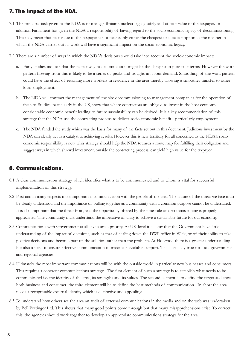## 7. The Impact of the NDA.

- 7.1 The principal task given to the NDA is to manage Britain's nuclear legacy safely and at best value to the taxpayer. In addition Parliament has given the NDA a responsibility of having regard to the socio-economic legacy of decommissioning. This may mean that best value to the taxpayer is not necessarily either the cheapest or quickest option as the manner in which the NDA carries out its work will have a significant impact on the socio-economic legacy.
- 7.2 There are a number of ways in which the NDA's decisions should take into account the socio-economic impact:
	- a. Early studies indicate that the fastest way to decommission might be the cheapest in pure cost terms. However the work pattern flowing from this is likely to be a series of peaks and troughs in labour demand. Smoothing of the work pattern could have the effect of retaining more workers in residence in the area thereby allowing a smoother transfer to other local employment.
	- b. The NDA will contract the management of the site decommissioning to management companies for the operation of the site. Studies, particularly in the US, show that where contractors are obliged to invest in the host economy considerable economic benefit leading to future sustainability can be derived. It is a key recommendation of this strategy that the NDA use the contracting process to deliver socio economic benefit - particularly employment.
	- c. The NDA funded the study which was the basis for many of the facts set out in this document. Judicious investment by the NDA can clearly act as a catalyst to achieving results. However this is new territory for all concerned as the NDA's socio economic responsibility is new. This strategy should help the NDA towards a route map for fulfilling their obligation and suggest ways in which shrewd investment, outside the contracting process, can yield high value for the taxpayer.

## 8. Communications.

- 8.1 A clear communication strategy which identifies what is to be communicated and to whom is vital for successful implementation of this strategy.
- 8.2 First and in many respects most important is communication with the people of the area. The nature of the threat we face must be clearly understood and the importance of pulling together as a community with a common purpose cannot be understated. It is also important that the threat from, and the opportunity offered by, the timescale of decommissioning is properly appreciated. The community must understand the imperative of unity to achieve a sustainable future for our economy.
- 8.3 Communications with Government at all levels are a priority. At UK level it is clear that the Government have little understanding of the impact of decisions, such as that of scaling down the DWP office in Wick, or of their ability to take positive decisions and become part of the solution rather than the problem. At Holyrood there is a greater understanding but also a need to ensure effective communication to maximise available support. This is equally true for local government and regional agencies.
- 8.4 Ultimately the most important communications will be with the outside world in particular new businesses and consumers. This requires a coherent communications strategy. The first element of such a strategy is to establish what needs to be communicated i.e. the identity of the area, its strengths and its values. The second element is to define the target audience both business and consumer, the third element will be to define the best methods of communication. In short the area needs a recognisable external identity which is distinctive and appealing.
- 8.5 To understand how others see the area an audit of external communications in the media and on the web was undertaken by Bell Pottinger Ltd. This shows that many good points come through but that many misapprehensions exist. To correct this, the agencies should work together to develop an appropriate communications strategy for the area.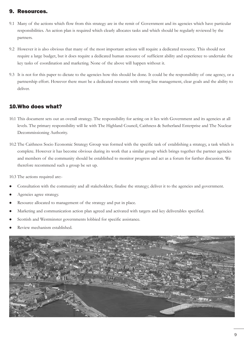## 9. Resources.

- 9.1 Many of the actions which flow from this strategy are in the remit of Government and its agencies which have particular responsibilities. An action plan is required which clearly allocates tasks and which should be regularly reviewed by the partners.
- 9.2 However it is also obvious that many of the most important actions will require a dedicated resource. This should not require a large budget, but it does require a dedicated human resource of sufficient ability and experience to undertake the key tasks of coordination and marketing. None of the above will happen without it.
- 9.3 It is not for this paper to dictate to the agencies how this should be done. It could be the responsibility of one agency, or a partnership effort. However there must be a dedicated resource with strong line management, clear goals and the ability to deliver.

# 10.Who does what?

- 10.1 This document sets out an overall strategy. The responsibility for acting on it lies with Government and its agencies at all levels. The primary responsibility will lie with The Highland Council, Caithness & Sutherland Enterprise and The Nuclear Decommissioning Authority.
- 10.2 The Caithness Socio Economic Strategy Group was formed with the specific task of establishing a strategy, a task which is complete. However it has become obvious during its work that a similar group which brings together the partner agencies and members of the community should be established to monitor progress and act as a forum for further discussion. We therefore recommend such a group be set up.

10.3 The actions required are:-

- z Consultation with the community and all stakeholders; finalise the strategy; deliver it to the agencies and government.
- Agencies agree strategy.
- Resource allocated to management of the strategy and put in place.
- Marketing and communication action plan agreed and activated with targets and key deliverables specified.
- Scottish and Westminster governments lobbied for specific assistance.
- Review mechanism established.

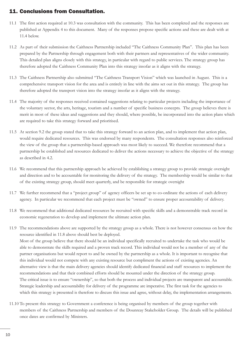## 11. Conclusions from Consultation.

- 11.1 The first action required at 10.3 was consultation with the community. This has been completed and the responses are published at Appendix 4 to this document. Many of the responses propose specific actions and these are dealt with at 11.4 below.
- 11.2 As part of their submission the Caithness Partnership included "The Caithness Community Plan". This plan has been prepared by the Partnership through engagement both with their partners and representatives of the wider community. This detailed plan aligns closely with this strategy, in particular with regard to public services. The strategy group has therefore adopted the Caithness Community Plan into this strategy insofar as it aligns with the strategy.
- 11.3 The Caithness Partnership also submitted "The Caithness Transport Vision" which was launched in August. This is a comprehensive transport vision for the area and is entirely in line with the aims set out in this strategy. The group has therefore adopted the transport vision into the strategy insofar as it aligns with the strategy.
- 11.4 The majority of the responses received contained suggestions relating to particular projects including the importance of the voluntary sector, the arts, heritage, tourism and a number of specific business concepts. The group believes there is merit in most of these ideas and suggestions and they should, where possible, be incorporated into the action plans which are required to take this strategy forward and prioritised.
- 11.5 At section 9.2 the group stated that to take this strategy forward to an action plan, and to implement that action plan, would require dedicated resources. This was endorsed by many respondents. The consultation responses also reinforced the view of the group that a partnership-based approach was most likely to succeed. We therefore recommend that a partnership be established and resources dedicated to deliver the actions necessary to achieve the objective of the strategy as described in 4.2.
- 11.6 We recommend that this partnership approach be achieved by establishing a strategy group to provide strategic oversight and direction and to be accountable for monitoring the delivery of the strategy. The membership would be similar to that of the existing strategy group, should meet quarterly, and be responsible for strategic oversight
- 11.7 We further recommend that a "project group" of agency officers be set up to co-ordinate the actions of each delivery agency. In particular we recommend that each project must be "owned" to ensure proper accountability of delivery.
- 11.8 We recommend that additional dedicated resources be recruited with specific skills and a demonstrable track record in economic regeneration to develop and implement the ultimate action plan.
- 11.9 The recommendations above are supported by the strategy group as a whole. There is not however consensus on how the resource identified in 11.8 above should best be deployed. Most of the group believe that there should be an individual specifically recruited to undertake the task who would be able to demonstrate the skills required and a proven track record. This individual would not be a member of any of the partner organisations but would report to and be owned by the partnership as a whole. It is important to recognise that this individual would not compete with any existing resource but compliment the actions of existing agencies. An alternative view is that the main delivery agencies should identify dedicated financial and staff resources to implement the recommendations and that their combined efforts should be mounted under the direction of the strategy group. The critical issue is to ensure "ownership", so that both the process and individual projects are transparent and accountable. Strategic leadership and accountability for delivery of the programme are imperative. The first task for the agencies to which this strategy is presented is therefore to discuss this issue and agree, without delay, the implementation arrangements.
- 11.10 To present this strategy to Government a conference is being organised by members of the group together with members of the Caithness Partnership and members of the Dounreay Stakeholder Group. The details will be published once dates are confirmed by Ministers.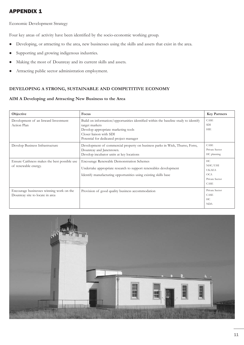# APPENDIX 1

Economic Development Strategy

Four key areas of activity have been identified by the socio-economic working group.

- Developing, or attracting to the area, new businesses using the skills and assets that exist in the area.
- Supporting and growing indigenous industries.
- $\bullet$  Making the most of Dounreay and its current skills and assets.
- Attracting public sector administration employment.

## **DEVELOPING A STRONG, SUSTAINABLE AND COMPETITIVE ECONOMY**

#### **AIM A Developing and Attracting New Business to the Area**

| Objective                                                                   | Focus                                                                                                                                                                                                              | <b>Key Partners</b>                                                   |
|-----------------------------------------------------------------------------|--------------------------------------------------------------------------------------------------------------------------------------------------------------------------------------------------------------------|-----------------------------------------------------------------------|
| Development of an Inward Investment<br>Action Plan                          | Build on information/opportunities identified within the baseline study to identify<br>target markets<br>Develop appropriate marketing tools<br>Closer liaison with SDI<br>Potential for dedicated project manager | CASE<br><b>SDI</b><br><b>HIE</b>                                      |
| Develop Business Infrastructure                                             | Development of commercial property on business parks in Wick, Thurso, Forss,<br>Dounreay and Janetstown.<br>Develop incubator units at key locations                                                               | CASE<br>Private Sector<br>HC planning                                 |
| Ensure Caithness makes the best possible use<br>of renewable energy.        | <b>Encourage Renewable Demonstration Schemes</b><br>Undertake appropriate research to support renewables development<br>Identify manufacturing opportunities using existing skills base                            | HC<br>NHC/UHI<br><b>UKAEA</b><br><b>OCA</b><br>Private Sector<br>CASE |
| Encourage businesses winning work on the<br>Dounreay site to locate in area | Provision of good quality business accommodation                                                                                                                                                                   | Private Sector<br>CASE<br>HC.<br><b>NDA</b>                           |

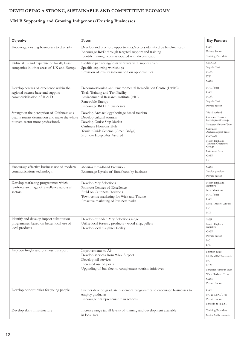## **DEVELOPING A STRONG, SUSTAINABLE AND COMPETITIVE ECONOMY**

## **AIM B Supporting and Growing Indigenous/Existing Businesses**

| Objective                                                                                                                          | Focus                                                                                                                                                                                               | <b>Key Partners</b>                                                                                                                                                                                                 |
|------------------------------------------------------------------------------------------------------------------------------------|-----------------------------------------------------------------------------------------------------------------------------------------------------------------------------------------------------|---------------------------------------------------------------------------------------------------------------------------------------------------------------------------------------------------------------------|
| Encourage existing businesses to diversify                                                                                         | Develop and promote opportunities/sectors identified by baseline study<br>Encourage R&D through targeted support and training<br>Identify training needs associated with diversification            | CASE<br>Private Sector<br>Training Providers                                                                                                                                                                        |
| Utilise skills and expertise of locally based<br>companies in other areas of UK and Europe                                         | Facilitate partnering/joint ventures with supply chain<br>Specific exporting workshops<br>Provision of quality information on opportunities                                                         | <b>UKAEA</b><br>Supply Chain<br>NDA<br>DTI<br>CASE                                                                                                                                                                  |
| Develop centres of excellence within the<br>regional science base and support<br>commercialisation of R & D.                       | Decommissioning and Environmental Remediation Centre (DERC)<br>Trials Training and Test Facility<br>Environmental Research Institute (ERI)<br>Renewable Energy<br>Encourage R&D in businesses       | $\rm NHC/UHI$<br>CASE<br><b>NDA</b><br>Supply Chain<br>Private Sector                                                                                                                                               |
| Strengthen the perception of Caithness as a<br>quality tourist destination and make the whole<br>tourism sector more professional. | Develop Archaeology/heritage based tourism<br>Develop cultural tourism<br>Develop Cruise Ship Market<br>Caithness Horizons Hub<br>Tourist Guide Scheme (Green Badge)<br>Promote Hospitality Assured | Visit Scotland<br>Caithness Tourism<br>Development Group<br>Scrabster Harbour Trust<br>Caithness<br>Archaeological Trust<br>CASVAG<br>North Highland<br>Tourism Operators'<br>Group<br>Caithness Arts<br>CASE<br>HС |
| Encourage effective business use of modern<br>communications technology.                                                           | Monitor Broadband Provision<br>Encourage Uptake of Broadband by business                                                                                                                            | CASE<br>Service providers<br>Private Sector                                                                                                                                                                         |
| Develop marketing programmes which<br>reinforce an image of excellence across all<br>sectors                                       | Develop Mey Selections<br>Promote Centres of Excellence<br>Build on Caithness Horizons<br>Town centre marketing for Wick and Thurso<br>Proactive marketing of business parks                        | North Highland<br>Initiative<br>Mey Selections<br>NHC/UHI<br>CASE<br>Local Traders' Groups<br>HC<br>HIE                                                                                                             |
| Identify and develop import substitution<br>programmes, based on better local use of<br>local products.                            | Develop extended Mey Selections range<br>Utilise local forestry products - wood chip, pellets<br>Develop local slaughter facility                                                                   | <b>SNH</b><br>North Highland<br>Initiative<br>CASE<br>Private Sector<br>HС<br>SAC                                                                                                                                   |
| Improve freight and business transport.                                                                                            | Improvements to A9<br>Develop services from Wick Airport<br>Develop rail services<br>Increased use of ports<br>Upgrading of bus fleet to complement tourism initiatives                             | Scottish Exec<br>Highland Rail Partnership<br>HС<br><b>HIAL</b><br>Scrabster Harbour Trust<br>Wick Harbour Trust<br>CASE<br>Private Sector                                                                          |
| Develop opportunities for young people                                                                                             | Further develop graduate placement programmes to encourage businesses to<br>employ graduates<br>Encourage entrepreneurship in schools                                                               | CASE<br>HC & NHC/UHI<br>Private Sector<br>Schools & PSYBT                                                                                                                                                           |
| Develop skills infrastructure                                                                                                      | Increase range (at all levels) of training and development available<br>in local area                                                                                                               | Training Providers<br>Sector Skills Councils                                                                                                                                                                        |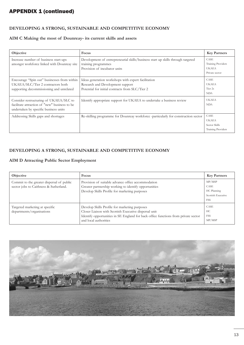# APPENDIX 1 (continued)

## **DEVELOPING A STRONG, SUSTAINABLE AND COMPETITIVE ECONOMY**

### **AIM C Making the most of Dounreay- its current skills and assets**

| Objective                                                                                                                        | Focus                                                                                                                                      | <b>Key Partners</b>                                                |
|----------------------------------------------------------------------------------------------------------------------------------|--------------------------------------------------------------------------------------------------------------------------------------------|--------------------------------------------------------------------|
| Increase number of business start-ups<br>amongst workforce linked with Dounreay site                                             | Development of entrepreneurial skills/business start up skills through targeted<br>training programmes<br>Provision of incubator units     | CASE<br>Training Providers<br><b>UKAEA</b><br>Private sector       |
| Encourage "Spin out" businesses from within<br>UKAEA/SLC/Tier 2 contractors both<br>supporting decommissioning and unrelated     | Ideas generation workshops with expert facilitation<br>Research and Development support<br>Potential for initial contracts from SLC/Tier 2 | CASE<br><b>UKAEA</b><br>Tier <sub>2s</sub><br><b>NDA</b>           |
| Consider restructuring of UKAEA/SLC to<br>facilitate attraction of "new" business to be<br>undertaken by specific business units | Identify appropriate support for UKAEA to undertake a business review                                                                      | <b>UKAEA</b><br><b>NDA</b>                                         |
| Addressing Skills gaps and shortages                                                                                             | Re-skilling programme for Dounreay workforce -particularly for construction sector                                                         | CASE<br><b>UKAEA</b><br>Sector Skills<br><b>Training Providers</b> |

## **DEVELOPING A STRONG, SUSTAINABLE AND COMPETITIVE ECONOMY**

## **AIM D Attracting Public Sector Employment**

| <b>Objective</b>                                                                    | Focus                                                                                                                                                                                                                 | <b>Key Partners</b>                                               |
|-------------------------------------------------------------------------------------|-----------------------------------------------------------------------------------------------------------------------------------------------------------------------------------------------------------------------|-------------------------------------------------------------------|
| Commit to the greater dispersal of public<br>sector jobs to Caithness & Sutherland. | Provision of suitable advance office accommodation<br>Greater partnership working to identify opportunities<br>Develop Skills Profile for marketing purposes                                                          | MP/MSP<br>CASE<br>HC Planning<br>Scottish Executive<br><b>FSS</b> |
| Targeted marketing at specific<br>departments/organisations                         | Develop Skills Profile for marketing purposes<br>Closer Liaison with Scottish Executive dispersal unit<br>Identify opportunities in SE England for back office functions from private sector<br>and local authorities | CASE<br>НC<br><b>FSS</b><br>MP/MSP                                |

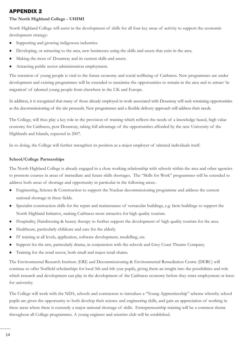# APPENDIX 2

## **The North Highland College - UHIMI**

North Highland College will assist in the development of skills for all four key areas of activity to support the economic development strategy:

- Supporting and growing indigenous industries.
- Developing, or attracting to the area, new businesses using the skills and assets that exist in the area.
- Making the most of Dounreay and its current skills and assets.
- Attracting public sector administration employment.

The retention of young people is vital to the future economy and social wellbeing of Caithness. New programmes are under development and existing programmes will be extended to maximise the opportunities to remain in the area and to attract 'in migration' of talented young people from elsewhere in the UK and Europe.

In addition, it is recognised that many of those already employed in work associated with Dounreay will seek retraining opportunities as the decommissioning of the site proceeds. New programmes and a flexible delivery approach will address their needs.

The College, will thus play a key role in the provision of training which reflects the needs of a knowledge based, high value economy for Caithness, post Dounreay, taking full advantage of the opportunities afforded by the new University of the Highlands and Islands, expected in 2007.

In so doing, the College will further strengthen its position as a major employer of talented individuals itself.

#### **School/College Partnerships**

The North Highland College is already engaged in a close working relationship with schools within the area and other agencies to promote courses in areas of immediate and future skills shortages. The "Skills for Work" programmes will be extended to address both areas of shortage and opportunity in particular in the following areas:-

- Engineering, Science & Construction to support the Nuclear decommissioning programme and address the current national shortage in these fields.
- Specialist construction skills for the repair and maintenance of vernacular buildings, e.g. farm buildings to support the North Highland Initiative, making Caithness more attractive for high quality tourism.
- z Hospitality, Hairdressing & beauty therapy to further support the development of high quality tourism for the area.
- Healthcare, particularly childcare and care for the elderly.
- IT training at all levels, application, software development, modelling, etc.
- Support for the arts, particularly drama, in conjunction with the schools and Grey Coast Theatre Company.
- Training for the retail sector, both small and major retail chains.

The Environmental Research Institute (ERI) and Decommissioning & Environmental Remediation Centre (DERC) will continue to offer Nuffield scholarships for local 5th and 6th year pupils, giving them an insight into the possibilities and role which research and development can play in the development of the Caithness economy before they enter employment or leave for university.

The College will work with the NDA, schools and contractors to introduce a "Young Apprenticeship" scheme whereby school pupils are given the opportunity to both develop their science and engineering skills, and gain an appreciation of working in these areas where there is currently a major national shortage of skills. Entrepreneurship training will be a common theme throughout all College programmes. A young engineer and scientist club will be established.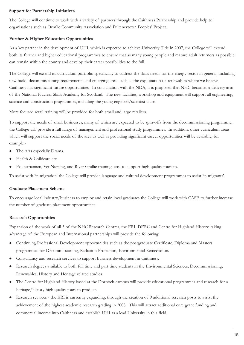#### **Support for Partnership Initiatives**

The College will continue to work with a variety of partners through the Caithness Partnership and provide help to organisations such as Ormlie Community Association and Pulteneytown Peoples' Project.

#### **Further & Higher Education Opportunities**

As a key partner in the development of UHI, which is expected to achieve University Title in 2007, the College will extend both its further and higher educational programmes to ensure that as many young people and mature adult returners as possible can remain within the county and develop their career possibilities to the full.

The College will extend its curriculum portfolio specifically to address the skills needs for the energy sector in general, including new build, decommissioning requirements and emerging areas such as the exploitation of renewables where we believe Caithness has significant future opportunities. In consultation with the NDA, it is proposed that NHC becomes a delivery arm of the National Nuclear Skills Academy for Scotland. The new facilities, workshop and equipment will support all engineering, science and construction programmes, including the young engineer/scientist clubs.

More focused retail training will be provided for both small and large retailers.

To support the needs of small businesses, many of which are expected to be spin-offs from the decommissioning programme, the College will provide a full range of management and professional study programmes. In addition, other curriculum areas which will support the social needs of the area as well as providing significant career opportunities will be available, for example:-

- The Arts especially Drama.
- Health & Childcare etc.
- Equestrianism, Vet Nursing, and River Ghillie training, etc., to support high quality tourism.

To assist with 'in migration' the College will provide language and cultural development programmes to assist 'in migrants'.

#### **Graduate Placement Scheme**

To encourage local industry/business to employ and retain local graduates the College will work with CASE to further increase the number of graduate placement opportunities.

## **Research Opportunities**

Expansion of the work of all 3 of the NHC Research Centres, the ERI, DERC and Centre for Highland History, taking advantage of the European and International partnerships will provide the following:

- Continuing Professional Development opportunities such as the postgraduate Certificate, Diploma and Masters programmes for Decommissioning, Radiation Protection, Environmental Remediation.
- Consultancy and research services to support business development in Caithness.
- Research degrees available to both full time and part time students in the Environmental Sciences, Decommissioning, Renewables, History and Heritage related studies.
- The Centre for Highland History based at the Dornoch campus will provide educational programmes and research for a heritage/history high quality tourism product.
- Research services the ERI is currently expanding, through the creation of 9 additional research posts to assist the achievement of the highest academic research grading in 2008. This will attract additional core grant funding and commercial income into Caithness and establish UHI as a lead University in this field.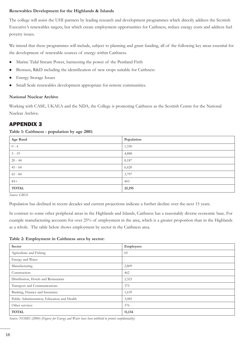#### **Renewables Development for the Highlands & Islands**

The college will assist the UHI partners by leading research and development programmes which directly address the Scottish Executive's renewables targets, but which create employment opportunities for Caithness, reduce energy costs and address fuel poverty issues.

We intend that these programmes will include, subject to planning and grant funding, all of the following key areas essential for the development of renewable sources of energy within Caithness.

- Marine Tidal Stream Power, harnessing the power of the Pentland Firth
- Biomass, R&D including the identification of new crops suitable for Caithness
- Energy Storage Issues
- Small Scale renewables development appropriate for remote communities.

#### **National Nuclear Archive**

Working with CASE, UKAEA and the NDA, the College is promoting Caithness as the Scottish Centre for the National Nuclear Archive.

## APPENDIX 3

#### **Table 1: Caithness - population by age 2001:**

| Age Band     | Population |
|--------------|------------|
| $0 - 4$      | 1,330      |
| $5 - 19$     | 4,888      |
| $20 - 44$    | 8,187      |
| $45 - 64$    | 6,620      |
| $65 - 84$    | 3,797      |
| $85+$        | 403        |
| <b>TOTAL</b> | 25,195     |

*Source: GROS* 

Population has declined in recent decades and current projections indicate a further decline over the next 15 years.

In contrast to some other peripheral areas in the Highlands and Islands, Caithness has a reasonably diverse economic base. For example manufacturing accounts for over 25% of employment in the area, which is a greater proportion than in the Highlands as a whole. The table below shows employment by sector in the Caithness area.

**Table 2: Employment in Caithness area by sector:**

| Sector                                      | <b>Employees</b>         |
|---------------------------------------------|--------------------------|
| Agriculture and Fishing                     | 65                       |
| Energy and Water                            | $\overline{\phantom{a}}$ |
| Manufacturing                               | 2,809                    |
| Construction                                | 462                      |
| Distribution, Hotels and Restaurants        | 2,323                    |
| Transport and Communications                | 375                      |
| Banking, Finance and Insurance              | 1,639                    |
| Public Administration, Education and Health | 3,085                    |
| Other services                              | 376                      |
| <b>TOTAL</b>                                | 11,134                   |

*Source: NOMIS (2004) (Figures for Energy and Water have been withheld to protect confidentiality)*